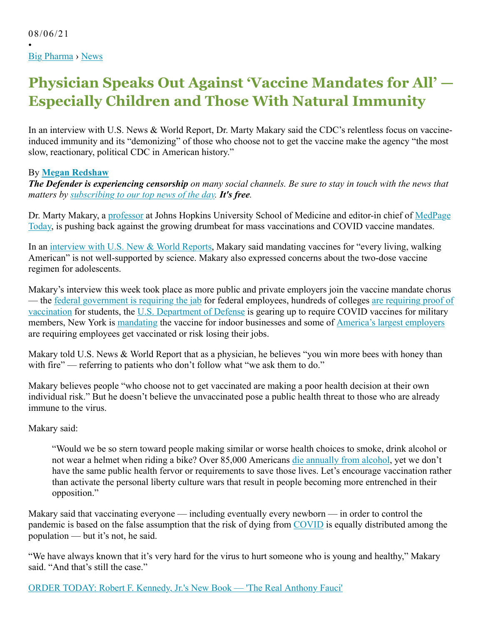•

# **Physician Speaks Out Against 'Vaccine Mandates for All' — Especially Children and Those With Natural Immunity**

In an interview with U.S. News & World Report, Dr. Marty Makary said the CDC's relentless focus on vaccineinduced immunity and its "demonizing" of those who choose not to get the vaccine make the agency "the most slow, reactionary, political CDC in American history."

## By **Megan Redshaw**

*The Defender is experiencing censorship on many social channels. Be sure to stay in touch with the news that matters by subscribing to our top news of the day. It's free.*

Dr. Marty Makary, a professor at Johns Hopkins University School of Medicine and editor-in chief of MedPage Today, is pushing back against the growing drumbeat for mass vaccinations and COVID vaccine mandates.

In an interview with U.S. New & World Reports, Makary said mandating vaccines for "every living, walking American" is not well-supported by science. Makary also expressed concerns about the two-dose vaccine regimen for adolescents.

Makary's interview this week took place as more public and private employers join the vaccine mandate chorus — the federal government is requiring the jab for federal employees, hundreds of colleges are requiring proof of vaccination for students, the U.S. Department of Defense is gearing up to require COVID vaccines for military members, New York is mandating the vaccine for indoor businesses and some of America's largest employers are requiring employees get vaccinated or risk losing their jobs.

Makary told U.S. News & World Report that as a physician, he believes "you win more bees with honey than with fire" — referring to patients who don't follow what "we ask them to do."

Makary believes people "who choose not to get vaccinated are making a poor health decision at their own individual risk." But he doesn't believe the unvaccinated pose a public health threat to those who are already immune to the virus.

Makary said:

"Would we be so stern toward people making similar or worse health choices to smoke, drink alcohol or not wear a helmet when riding a bike? Over 85,000 Americans die annually from alcohol, yet we don't have the same public health fervor or requirements to save those lives. Let's encourage vaccination rather than activate the personal liberty culture wars that result in people becoming more entrenched in their opposition."

Makary said that vaccinating everyone — including eventually every newborn — in order to control the pandemic is based on the false assumption that the risk of dying from COVID is equally distributed among the population — but it's not, he said.

"We have always known that it's very hard for the virus to hurt someone who is young and healthy," Makary said. "And that's still the case."

ORDER TODAY: Robert F. Kennedy, Jr.'s New Book — 'The Real Anthony Fauci'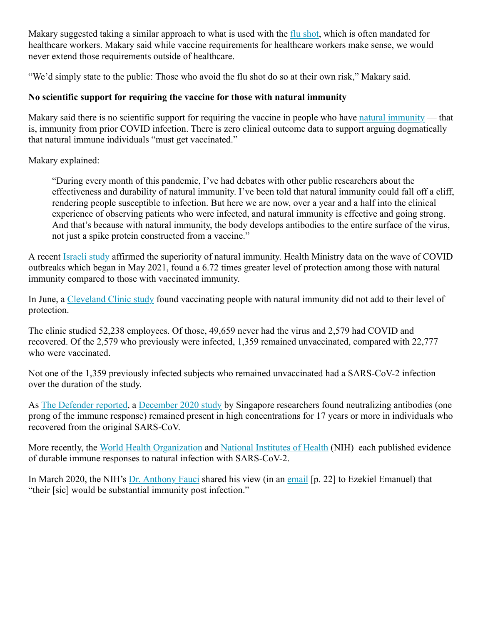Makary suggested taking a similar approach to what is used with the flu shot, which is often mandated for healthcare workers. Makary said while vaccine requirements for healthcare workers make sense, we would never extend those requirements outside of healthcare.

"We'd simply state to the public: Those who avoid the flu shot do so at their own risk," Makary said.

## **No scientific support for requiring the vaccine for those with natural immunity**

Makary said there is no scientific support for requiring the vaccine in people who have natural immunity — that is, immunity from prior COVID infection. There is zero clinical outcome data to support arguing dogmatically that natural immune individuals "must get vaccinated."

Makary explained:

"During every month of this pandemic, I've had debates with other public researchers about the effectiveness and durability of natural immunity. I've been told that natural immunity could fall off a cliff, rendering people susceptible to infection. But here we are now, over a year and a half into the clinical experience of observing patients who were infected, and natural immunity is effective and going strong. And that's because with natural immunity, the body develops antibodies to the entire surface of the virus, not just a spike protein constructed from a vaccine."

A recent Israeli study affirmed the superiority of natural immunity. Health Ministry data on the wave of COVID outbreaks which began in May 2021, found a 6.72 times greater level of protection among those with natural immunity compared to those with vaccinated immunity.

In June, a Cleveland Clinic study found vaccinating people with natural immunity did not add to their level of protection.

The clinic studied 52,238 employees. Of those, 49,659 never had the virus and 2,579 had COVID and recovered. Of the 2,579 who previously were infected, 1,359 remained unvaccinated, compared with 22,777 who were vaccinated.

Not one of the 1,359 previously infected subjects who remained unvaccinated had a SARS-CoV-2 infection over the duration of the study.

As The Defender reported, a December 2020 study by Singapore researchers found neutralizing antibodies (one prong of the immune response) remained present in high concentrations for 17 years or more in individuals who recovered from the original SARS-CoV.

More recently, the World Health Organization and National Institutes of Health (NIH) each published evidence of durable immune responses to natural infection with SARS-CoV-2.

In March 2020, the NIH's Dr. Anthony Fauci shared his view (in an email [p. 22] to Ezekiel Emanuel) that "their [sic] would be substantial immunity post infection."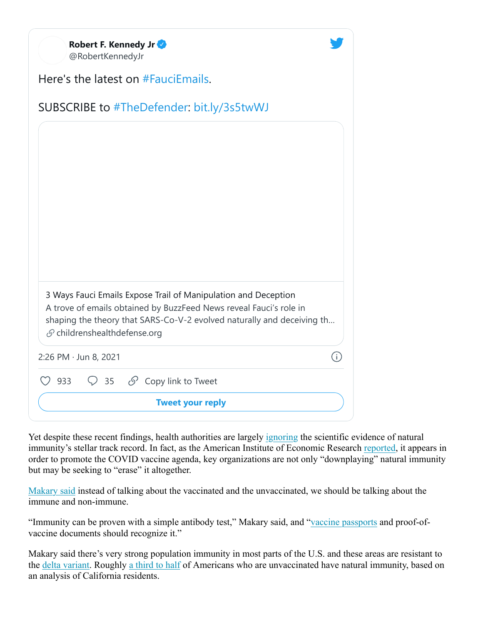| Robert F. Kennedy Jr<br>@RobertKennedyJr                                                                                                                                                                                                                   |  |  |
|------------------------------------------------------------------------------------------------------------------------------------------------------------------------------------------------------------------------------------------------------------|--|--|
| Here's the latest on #FauciEmails.                                                                                                                                                                                                                         |  |  |
| SUBSCRIBE to #TheDefender: bit.ly/3s5twWJ                                                                                                                                                                                                                  |  |  |
|                                                                                                                                                                                                                                                            |  |  |
|                                                                                                                                                                                                                                                            |  |  |
|                                                                                                                                                                                                                                                            |  |  |
|                                                                                                                                                                                                                                                            |  |  |
|                                                                                                                                                                                                                                                            |  |  |
|                                                                                                                                                                                                                                                            |  |  |
|                                                                                                                                                                                                                                                            |  |  |
| 3 Ways Fauci Emails Expose Trail of Manipulation and Deception<br>A trove of emails obtained by BuzzFeed News reveal Fauci's role in<br>shaping the theory that SARS-Co-V-2 evolved naturally and deceiving th<br>$\mathcal{S}$ childrenshealthdefense.org |  |  |
| 2:26 PM · Jun 8, 2021<br>j.                                                                                                                                                                                                                                |  |  |
| $\heartsuit$ 35 $\heartsuit$ Copy link to Tweet<br>933                                                                                                                                                                                                     |  |  |
| <b>Tweet your reply</b>                                                                                                                                                                                                                                    |  |  |

Yet despite these recent findings, health authorities are largely ignoring the scientific evidence of natural immunity's stellar track record. In fact, as the American Institute of Economic Research reported, it appears in order to promote the COVID vaccine agenda, key organizations are not only "downplaying" natural immunity but may be seeking to "erase" it altogether.

Makary said instead of talking about the vaccinated and the unvaccinated, we should be talking about the immune and non-immune.

"Immunity can be proven with a simple antibody test," Makary said, and "vaccine passports and proof-ofvaccine documents should recognize it."

Makary said there's very strong population immunity in most parts of the U.S. and these areas are resistant to the delta variant. Roughly a third to half of Americans who are unvaccinated have natural immunity, based on an analysis of California residents.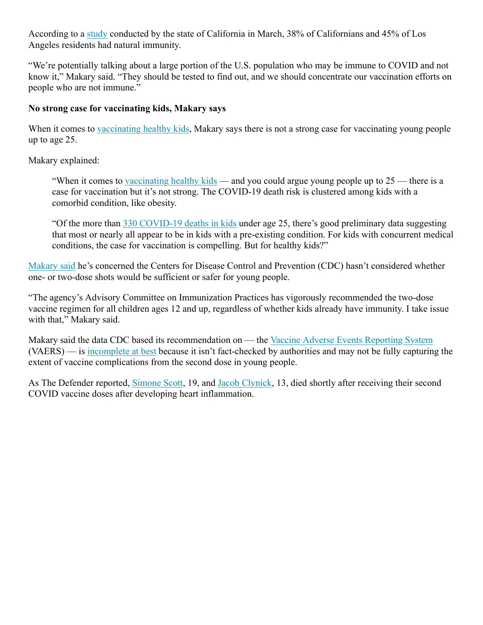According to a study conducted by the state of California in March, 38% of Californians and 45% of Los Angeles residents had natural immunity.

"We're potentially talking about a large portion of the U.S. population who may be immune to COVID and not know it," Makary said. "They should be tested to find out, and we should concentrate our vaccination efforts on people who are not immune."

#### **No strong case for vaccinating kids, Makary says**

When it comes to vaccinating healthy kids, Makary says there is not a strong case for vaccinating young people up to age 25.

Makary explained:

"When it comes to vaccinating healthy kids — and you could argue young people up to 25 — there is a case for vaccination but it's not strong. The COVID-19 death risk is clustered among kids with a comorbid condition, like obesity.

"Of the more than 330 COVID-19 deaths in kids under age 25, there's good preliminary data suggesting that most or nearly all appear to be in kids with a pre-existing condition. For kids with concurrent medical conditions, the case for vaccination is compelling. But for healthy kids?"

Makary said he's concerned the Centers for Disease Control and Prevention (CDC) hasn't considered whether one- or two-dose shots would be sufficient or safer for young people.

"The agency's Advisory Committee on Immunization Practices has vigorously recommended the two-dose vaccine regimen for all children ages 12 and up, regardless of whether kids already have immunity. I take issue with that," Makary said.

Makary said the data CDC based its recommendation on — the Vaccine Adverse Events Reporting System (VAERS) — is incomplete at best because it isn't fact-checked by authorities and may not be fully capturing the extent of vaccine complications from the second dose in young people.

As The Defender reported, Simone Scott, 19, and Jacob Clynick, 13, died shortly after receiving their second COVID vaccine doses after developing heart inflammation.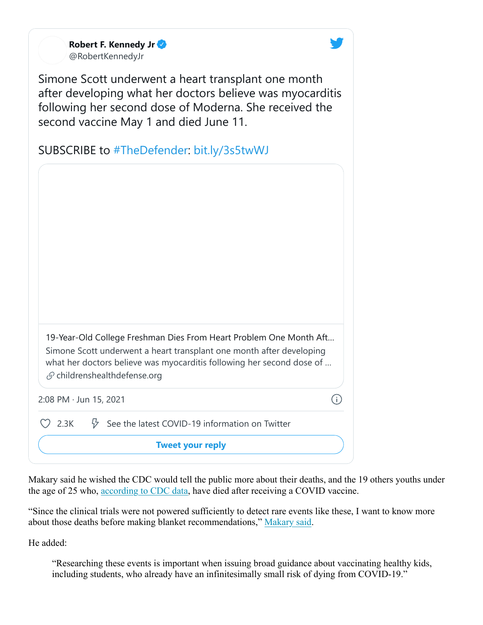**Robert F. Kennedy Jr** @RobertKennedyJr



Simone Scott underwent a heart transplant one month after developing what her doctors believe was myocarditis following her second dose of Moderna. She received the second vaccine May 1 and died June 11.

|              | 19-Year-Old College Freshman Dies From Heart Problem One Month Aft<br>Simone Scott underwent a heart transplant one month after developing<br>what her doctors believe was myocarditis following her second dose of<br>$\mathcal{S}$ childrenshealthdefense.org |     |
|--------------|-----------------------------------------------------------------------------------------------------------------------------------------------------------------------------------------------------------------------------------------------------------------|-----|
|              | 2:08 PM · Jun 15, 2021                                                                                                                                                                                                                                          | (i) |
| $\circ$ 2.3K | $\sqrt[3]{ }$ See the latest COVID-19 information on Twitter                                                                                                                                                                                                    |     |

**Tweet your reply**

Makary said he wished the CDC would tell the public more about their deaths, and the 19 others youths under the age of 25 who, according to CDC data, have died after receiving a COVID vaccine.

"Since the clinical trials were not powered sufficiently to detect rare events like these, I want to know more about those deaths before making blanket recommendations," Makary said.

He added:

"Researching these events is important when issuing broad guidance about vaccinating healthy kids, including students, who already have an infinitesimally small risk of dying from COVID-19."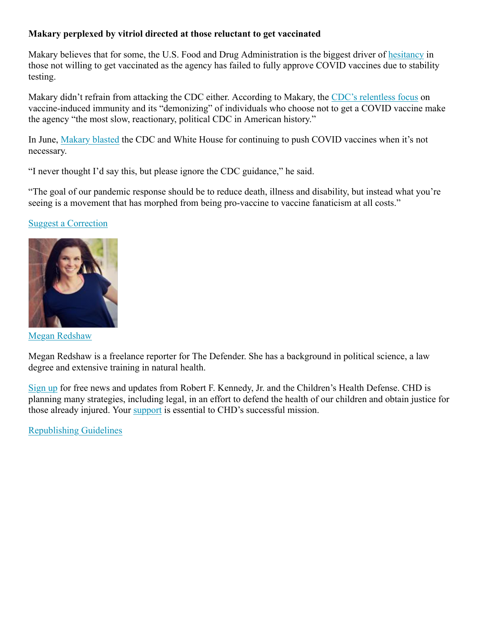## **Makary perplexed by vitriol directed at those reluctant to get vaccinated**

Makary believes that for some, the U.S. Food and Drug Administration is the biggest driver of hesitancy in those not willing to get vaccinated as the agency has failed to fully approve COVID vaccines due to stability testing.

Makary didn't refrain from attacking the CDC either. According to Makary, the CDC's relentless focus on vaccine-induced immunity and its "demonizing" of individuals who choose not to get a COVID vaccine make the agency "the most slow, reactionary, political CDC in American history."

In June, Makary blasted the CDC and White House for continuing to push COVID vaccines when it's not necessary.

"I never thought I'd say this, but please ignore the CDC guidance," he said.

"The goal of our pandemic response should be to reduce death, illness and disability, but instead what you're seeing is a movement that has morphed from being pro-vaccine to vaccine fanaticism at all costs."

## Suggest a Correction



Megan Redshaw

Megan Redshaw is a freelance reporter for The Defender. She has a background in political science, a law degree and extensive training in natural health.

Sign up for free news and updates from Robert F. Kennedy, Jr. and the Children's Health Defense. CHD is planning many strategies, including legal, in an effort to defend the health of our children and obtain justice for those already injured. Your support is essential to CHD's successful mission.

Republishing Guidelines